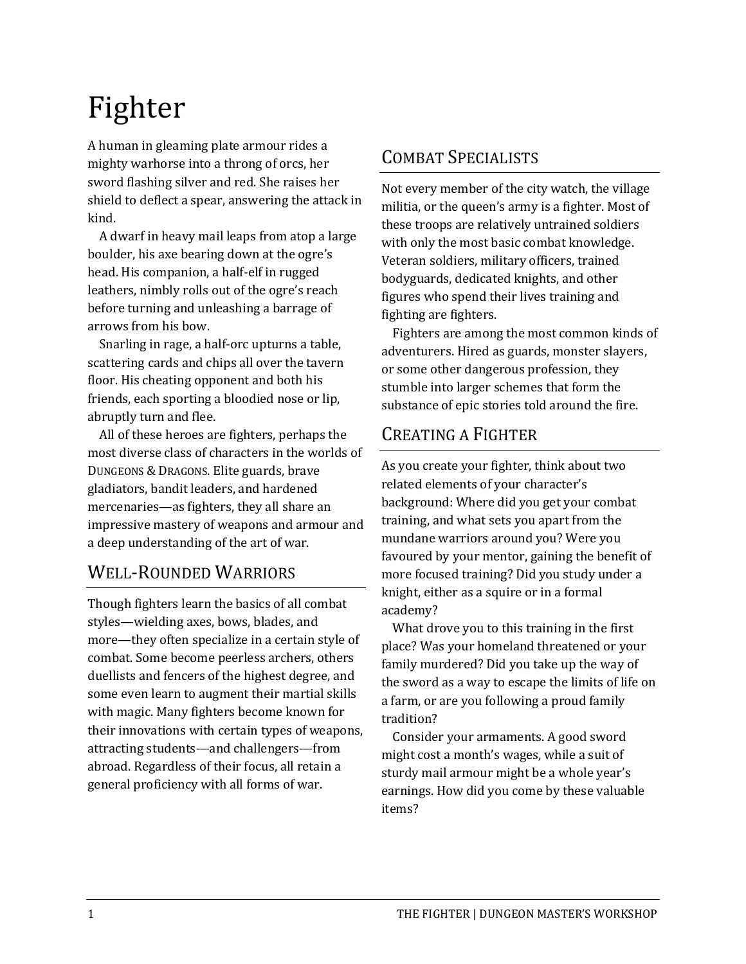# Fighter

A human in gleaming plate armour rides a mighty warhorse into a throng of orcs, her sword flashing silver and red. She raises her shield to deflect a spear, answering the attack in kind.

A dwarf in heavy mail leaps from atop a large boulder, his axe bearing down at the ogre's head. His companion, a half-elf in rugged leathers, nimbly rolls out of the ogre's reach before turning and unleashing a barrage of arrows from his bow.

Snarling in rage, a half-orc upturns a table, scattering cards and chips all over the tavern floor. His cheating opponent and both his friends, each sporting a bloodied nose or lip, abruptly turn and flee.

All of these heroes are fighters, perhaps the most diverse class of characters in the worlds of DUNGEONS & DRAGONS. Elite guards, brave gladiators, bandit leaders, and hardened mercenaries—as fighters, they all share an impressive mastery of weapons and armour and a deep understanding of the art of war.

# WELL-ROUNDED WARRIORS

Though fighters learn the basics of all combat styles—wielding axes, bows, blades, and more—they often specialize in a certain style of combat. Some become peerless archers, others duellists and fencers of the highest degree, and some even learn to augment their martial skills with magic. Many fighters become known for their innovations with certain types of weapons, attracting students—and challengers—from abroad. Regardless of their focus, all retain a general proficiency with all forms of war.

# COMBAT SPECIALISTS

Not every member of the city watch, the village militia, or the queen's army is a fighter. Most of these troops are relatively untrained soldiers with only the most basic combat knowledge. Veteran soldiers, military officers, trained bodyguards, dedicated knights, and other figures who spend their lives training and fighting are fighters.

Fighters are among the most common kinds of adventurers. Hired as guards, monster slayers, or some other dangerous profession, they stumble into larger schemes that form the substance of epic stories told around the fire.

# CREATING A FIGHTER

As you create your fighter, think about two related elements of your character's background: Where did you get your combat training, and what sets you apart from the mundane warriors around you? Were you favoured by your mentor, gaining the benefit of more focused training? Did you study under a knight, either as a squire or in a formal academy?

What drove you to this training in the first place? Was your homeland threatened or your family murdered? Did you take up the way of the sword as a way to escape the limits of life on a farm, or are you following a proud family tradition?

Consider your armaments. A good sword might cost a month's wages, while a suit of sturdy mail armour might be a whole year's earnings. How did you come by these valuable items?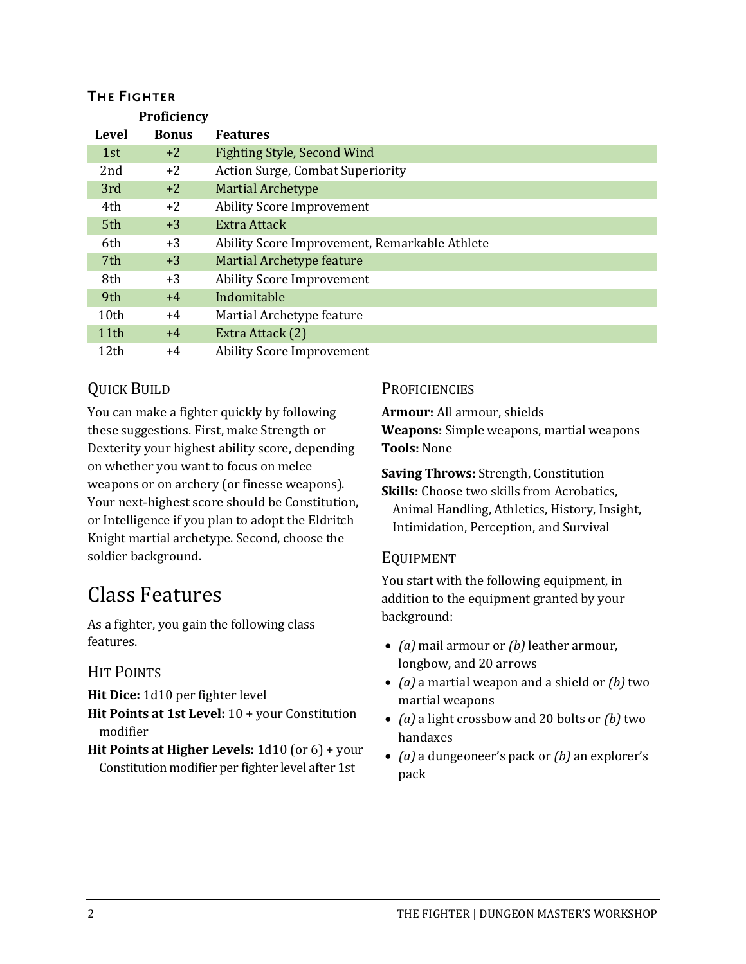#### THE FIGHTER

| Proficiency |              |                                               |  |  |  |
|-------------|--------------|-----------------------------------------------|--|--|--|
| Level       | <b>Bonus</b> | <b>Features</b>                               |  |  |  |
| 1st         | $+2$         | <b>Fighting Style, Second Wind</b>            |  |  |  |
| 2nd         | $+2$         | Action Surge, Combat Superiority              |  |  |  |
| 3rd         | $+2$         | <b>Martial Archetype</b>                      |  |  |  |
| 4th         | $+2$         | <b>Ability Score Improvement</b>              |  |  |  |
| 5th         | $+3$         | Extra Attack                                  |  |  |  |
| 6th         | $+3$         | Ability Score Improvement, Remarkable Athlete |  |  |  |
| 7th         | $+3$         | Martial Archetype feature                     |  |  |  |
| 8th         | $+3$         | <b>Ability Score Improvement</b>              |  |  |  |
| 9th         | $+4$         | Indomitable                                   |  |  |  |
| 10th        | $+4$         | Martial Archetype feature                     |  |  |  |
| 11th        | $+4$         | Extra Attack (2)                              |  |  |  |
| 12th        | +4           | <b>Ability Score Improvement</b>              |  |  |  |

#### QUICK BUILD

You can make a fighter quickly by following these suggestions. First, make Strength or Dexterity your highest ability score, depending on whether you want to focus on melee weapons or on archery (or finesse weapons). Your next-highest score should be Constitution, or Intelligence if you plan to adopt the Eldritch Knight martial archetype. Second, choose the soldier background.

# Class Features

As a fighter, you gain the following class features.

#### HIT POINTS

**Hit Dice:** 1d10 per fighter level

**Hit Points at 1st Level:** 10 + your Constitution modifier

**Hit Points at Higher Levels:** 1d10 (or 6) + your Constitution modifier per fighter level after 1st

#### **PROFICIENCIES**

**Armour:** All armour, shields **Weapons:** Simple weapons, martial weapons **Tools:** None

**Saving Throws:** Strength, Constitution

**Skills:** Choose two skills from Acrobatics, Animal Handling, Athletics, History, Insight, Intimidation, Perception, and Survival

#### EQUIPMENT

You start with the following equipment, in addition to the equipment granted by your background:

- *(a)* mail armour or *(b)* leather armour, longbow, and 20 arrows
- *(a)* a martial weapon and a shield or *(b)* two martial weapons
- *(a)* a light crossbow and 20 bolts or *(b)* two handaxes
- *(a)* a dungeoneer's pack or *(b)* an explorer's pack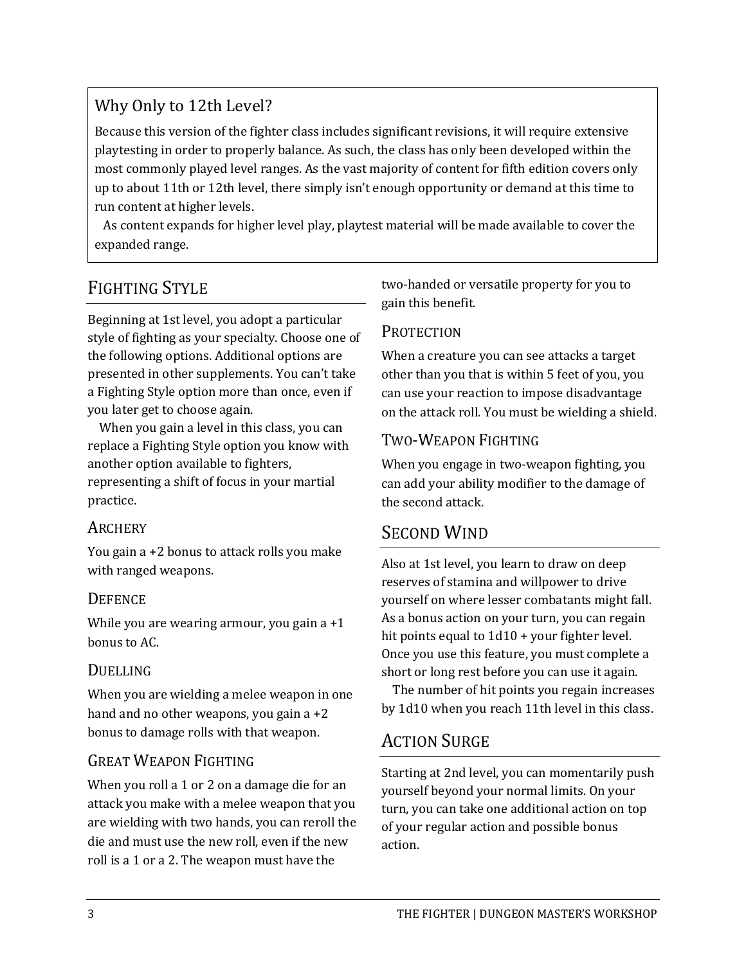# Why Only to 12th Level?

Because this version of the fighter class includes significant revisions, it will require extensive playtesting in order to properly balance. As such, the class has only been developed within the most commonly played level ranges. As the vast majority of content for fifth edition covers only up to about 11th or 12th level, there simply isn't enough opportunity or demand at this time to run content at higher levels.

 As content expands for higher level play, playtest material will be made available to cover the expanded range.

# FIGHTING STYLE

Beginning at 1st level, you adopt a particular style of fighting as your specialty. Choose one of the following options. Additional options are presented in other supplements. You can't take a Fighting Style option more than once, even if you later get to choose again.

When you gain a level in this class, you can replace a Fighting Style option you know with another option available to fighters, representing a shift of focus in your martial practice.

#### **ARCHERY**

You gain a +2 bonus to attack rolls you make with ranged weapons.

#### **DEFENCE**

While you are wearing armour, you gain a  $+1$ bonus to AC.

#### DUELLING

When you are wielding a melee weapon in one hand and no other weapons, you gain a +2 bonus to damage rolls with that weapon.

#### GREAT WEAPON FIGHTING

When you roll a 1 or 2 on a damage die for an attack you make with a melee weapon that you are wielding with two hands, you can reroll the die and must use the new roll, even if the new roll is a 1 or a 2. The weapon must have the

two-handed or versatile property for you to gain this benefit.

#### **PROTECTION**

When a creature you can see attacks a target other than you that is within 5 feet of you, you can use your reaction to impose disadvantage on the attack roll. You must be wielding a shield.

### TWO-WEAPON FIGHTING

When you engage in two-weapon fighting, you can add your ability modifier to the damage of the second attack.

# SECOND WIND

Also at 1st level, you learn to draw on deep reserves of stamina and willpower to drive yourself on where lesser combatants might fall. As a bonus action on your turn, you can regain hit points equal to 1d10 + your fighter level. Once you use this feature, you must complete a short or long rest before you can use it again.

The number of hit points you regain increases by 1d10 when you reach 11th level in this class.

# ACTION SURGE

Starting at 2nd level, you can momentarily push yourself beyond your normal limits. On your turn, you can take one additional action on top of your regular action and possible bonus action.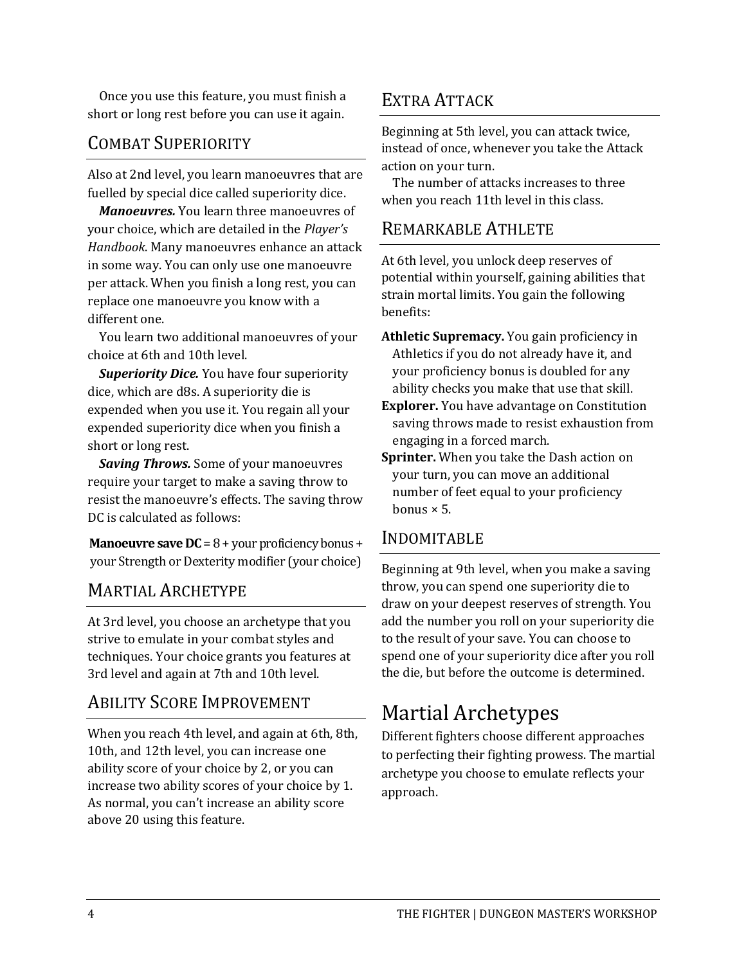Once you use this feature, you must finish a short or long rest before you can use it again.

# COMBAT SUPERIORITY

Also at 2nd level, you learn manoeuvres that are fuelled by special dice called superiority dice.

*Manoeuvres.* You learn three manoeuvres of your choice, which are detailed in the *Player's Handbook*. Many manoeuvres enhance an attack in some way. You can only use one manoeuvre per attack. When you finish a long rest, you can replace one manoeuvre you know with a different one.

You learn two additional manoeuvres of your choice at 6th and 10th level.

*Superiority Dice.* You have four superiority dice, which are d8s. A superiority die is expended when you use it. You regain all your expended superiority dice when you finish a short or long rest.

*Saving Throws.* Some of your manoeuvres require your target to make a saving throw to resist the manoeuvre's effects. The saving throw DC is calculated as follows:

**Manoeuvre save DC** =  $8 +$ your proficiency bonus  $+$ your Strength or Dexterity modifier (your choice)

# MARTIAL ARCHETYPE

At 3rd level, you choose an archetype that you strive to emulate in your combat styles and techniques. Your choice grants you features at 3rd level and again at 7th and 10th level.

# ABILITY SCORE IMPROVEMENT

When you reach 4th level, and again at 6th, 8th, 10th, and 12th level, you can increase one ability score of your choice by 2, or you can increase two ability scores of your choice by 1. As normal, you can't increase an ability score above 20 using this feature.

# EXTRA ATTACK

Beginning at 5th level, you can attack twice, instead of once, whenever you take the Attack action on your turn.

The number of attacks increases to three when you reach 11th level in this class.

#### REMARKABLE ATHLETE

At 6th level, you unlock deep reserves of potential within yourself, gaining abilities that strain mortal limits. You gain the following benefits:

**Athletic Supremacy.** You gain proficiency in Athletics if you do not already have it, and your proficiency bonus is doubled for any ability checks you make that use that skill.

**Explorer.** You have advantage on Constitution saving throws made to resist exhaustion from engaging in a forced march.

**Sprinter.** When you take the Dash action on your turn, you can move an additional number of feet equal to your proficiency bonus × 5.

#### INDOMITABLE

Beginning at 9th level, when you make a saving throw, you can spend one superiority die to draw on your deepest reserves of strength. You add the number you roll on your superiority die to the result of your save. You can choose to spend one of your superiority dice after you roll the die, but before the outcome is determined.

# Martial Archetypes

Different fighters choose different approaches to perfecting their fighting prowess. The martial archetype you choose to emulate reflects your approach.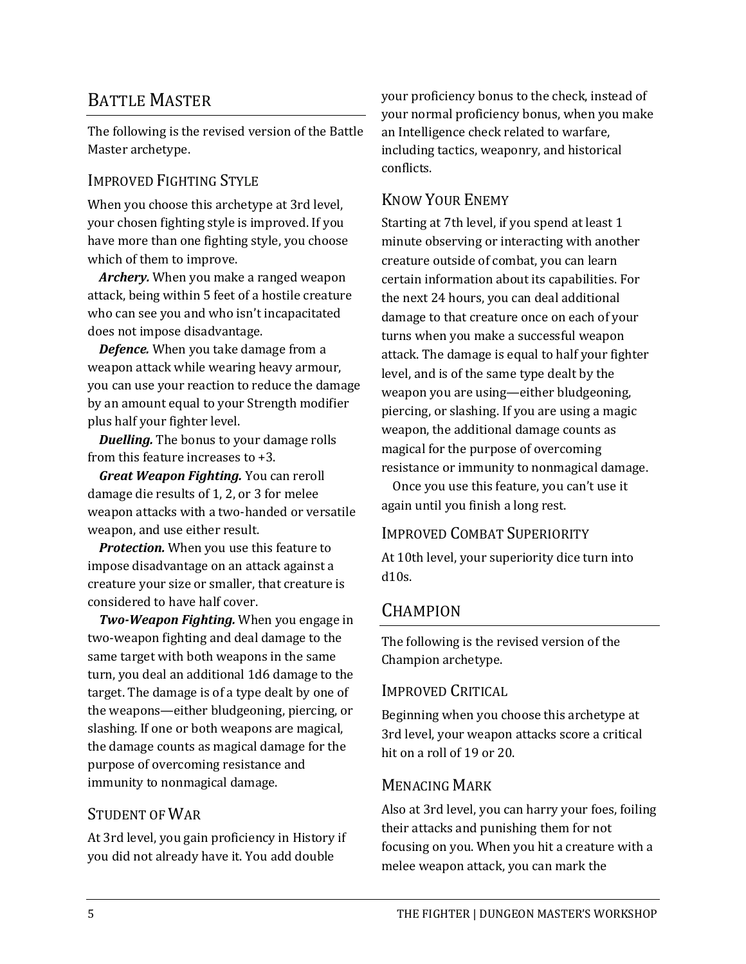# BATTLE MASTER

The following is the revised version of the Battle Master archetype.

#### IMPROVED FIGHTING STYLE

When you choose this archetype at 3rd level, your chosen fighting style is improved. If you have more than one fighting style, you choose which of them to improve.

*Archery.* When you make a ranged weapon attack, being within 5 feet of a hostile creature who can see you and who isn't incapacitated does not impose disadvantage.

*Defence.* When you take damage from a weapon attack while wearing heavy armour, you can use your reaction to reduce the damage by an amount equal to your Strength modifier plus half your fighter level.

*Duelling.* The bonus to your damage rolls from this feature increases to +3.

*Great Weapon Fighting.* You can reroll damage die results of 1, 2, or 3 for melee weapon attacks with a two-handed or versatile weapon, and use either result.

*Protection.* When you use this feature to impose disadvantage on an attack against a creature your size or smaller, that creature is considered to have half cover.

*Two-Weapon Fighting.* When you engage in two-weapon fighting and deal damage to the same target with both weapons in the same turn, you deal an additional 1d6 damage to the target. The damage is of a type dealt by one of the weapons—either bludgeoning, piercing, or slashing. If one or both weapons are magical, the damage counts as magical damage for the purpose of overcoming resistance and immunity to nonmagical damage.

#### STUDENT OF WAR

At 3rd level, you gain proficiency in History if you did not already have it. You add double

your proficiency bonus to the check, instead of your normal proficiency bonus, when you make an Intelligence check related to warfare, including tactics, weaponry, and historical conflicts.

#### KNOW YOUR ENEMY

Starting at 7th level, if you spend at least 1 minute observing or interacting with another creature outside of combat, you can learn certain information about its capabilities. For the next 24 hours, you can deal additional damage to that creature once on each of your turns when you make a successful weapon attack. The damage is equal to half your fighter level, and is of the same type dealt by the weapon you are using—either bludgeoning, piercing, or slashing. If you are using a magic weapon, the additional damage counts as magical for the purpose of overcoming resistance or immunity to nonmagical damage.

Once you use this feature, you can't use it again until you finish a long rest.

#### IMPROVED COMBAT SUPERIORITY

At 10th level, your superiority dice turn into d10s.

### **CHAMPION**

The following is the revised version of the Champion archetype.

#### IMPROVED CRITICAL

Beginning when you choose this archetype at 3rd level, your weapon attacks score a critical hit on a roll of 19 or 20.

#### MENACING MARK

Also at 3rd level, you can harry your foes, foiling their attacks and punishing them for not focusing on you. When you hit a creature with a melee weapon attack, you can mark the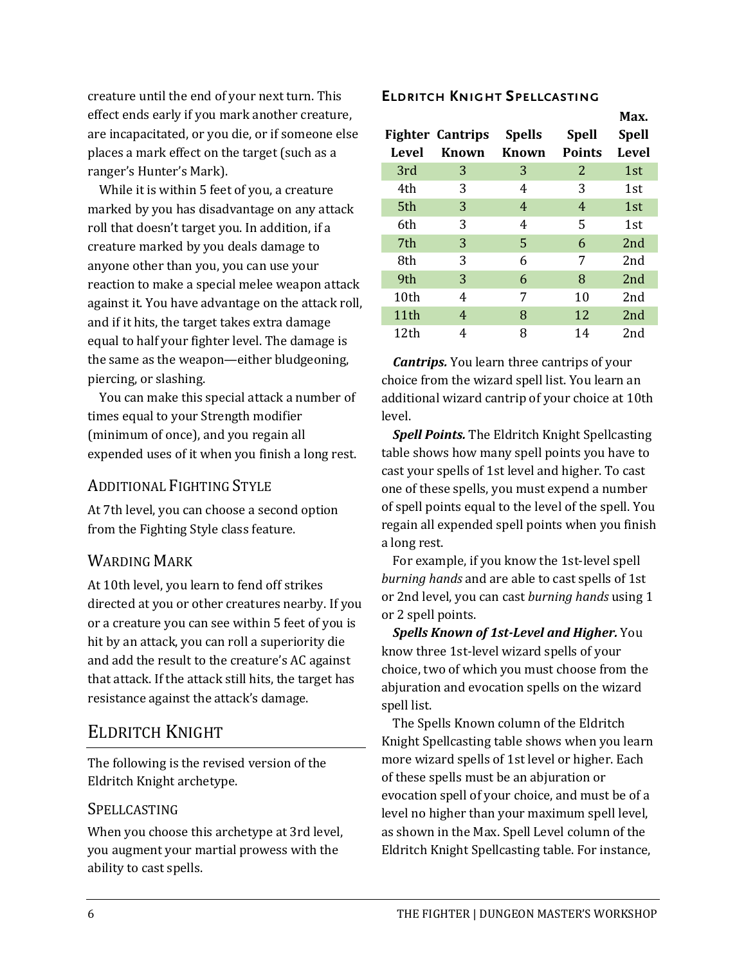creature until the end of your next turn. This effect ends early if you mark another creature, are incapacitated, or you die, or if someone else places a mark effect on the target (such as a ranger's Hunter's Mark).

While it is within 5 feet of you, a creature marked by you has disadvantage on any attack roll that doesn't target you. In addition, if a creature marked by you deals damage to anyone other than you, you can use your reaction to make a special melee weapon attack against it. You have advantage on the attack roll, and if it hits, the target takes extra damage equal to half your fighter level. The damage is the same as the weapon—either bludgeoning, piercing, or slashing.

You can make this special attack a number of times equal to your Strength modifier (minimum of once), and you regain all expended uses of it when you finish a long rest.

#### ADDITIONAL FIGHTING STYLE

At 7th level, you can choose a second option from the Fighting Style class feature.

#### WARDING MARK

At 10th level, you learn to fend off strikes directed at you or other creatures nearby. If you or a creature you can see within 5 feet of you is hit by an attack, you can roll a superiority die and add the result to the creature's AC against that attack. If the attack still hits, the target has resistance against the attack's damage.

### ELDRITCH KNIGHT

The following is the revised version of the Eldritch Knight archetype.

#### **SPELLCASTING**

When you choose this archetype at 3rd level, you augment your martial prowess with the ability to cast spells.

#### **ELDRITCH KNIGHT SPELLCASTING**

| Level | <b>Fighter Cantrips</b><br><b>Known</b> | <b>Spells</b><br><b>Known</b> | <b>Spell</b><br><b>Points</b> | Max.<br><b>Spell</b><br>Level |
|-------|-----------------------------------------|-------------------------------|-------------------------------|-------------------------------|
| 3rd   | 3                                       | 3                             | 2                             | 1st                           |
| 4th   | 3                                       | 4                             | 3                             | 1st                           |
| 5th   | 3                                       | 4                             | 4                             | 1st                           |
| 6th   | 3                                       | 4                             | 5                             | 1st                           |
| 7th   | 3                                       | 5                             | 6                             | 2nd                           |
| 8th   | 3                                       | 6                             | 7                             | 2nd                           |
| 9th   | 3                                       | 6                             | 8                             | 2nd                           |
| 10th  | 4                                       | 7                             | 10                            | 2 <sub>nd</sub>               |
| 11th  | 4                                       | 8                             | 12                            | 2nd                           |
| 12th  | 4                                       | 8                             | 14                            | 2nd                           |

*Cantrips.* You learn three cantrips of your choice from the wizard spell list. You learn an additional wizard cantrip of your choice at 10th level.

*Spell Points.* The Eldritch Knight Spellcasting table shows how many spell points you have to cast your spells of 1st level and higher. To cast one of these spells, you must expend a number of spell points equal to the level of the spell. You regain all expended spell points when you finish a long rest.

For example, if you know the 1st-level spell *burning hands* and are able to cast spells of 1st or 2nd level, you can cast *burning hands* using 1 or 2 spell points.

*Spells Known of 1st-Level and Higher.* You know three 1st-level wizard spells of your choice, two of which you must choose from the abjuration and evocation spells on the wizard spell list.

The Spells Known column of the Eldritch Knight Spellcasting table shows when you learn more wizard spells of 1st level or higher. Each of these spells must be an abjuration or evocation spell of your choice, and must be of a level no higher than your maximum spell level, as shown in the Max. Spell Level column of the Eldritch Knight Spellcasting table. For instance,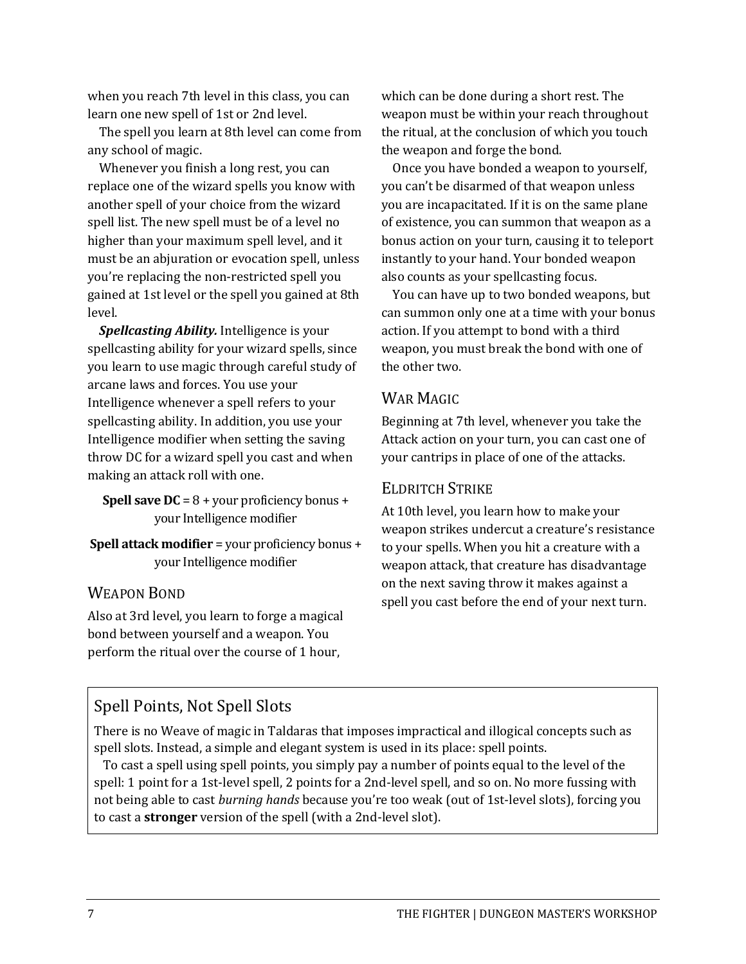when you reach 7th level in this class, you can learn one new spell of 1st or 2nd level.

The spell you learn at 8th level can come from any school of magic.

Whenever you finish a long rest, you can replace one of the wizard spells you know with another spell of your choice from the wizard spell list. The new spell must be of a level no higher than your maximum spell level, and it must be an abjuration or evocation spell, unless you're replacing the non-restricted spell you gained at 1st level or the spell you gained at 8th level.

*Spellcasting Ability.* Intelligence is your spellcasting ability for your wizard spells, since you learn to use magic through careful study of arcane laws and forces. You use your Intelligence whenever a spell refers to your spellcasting ability. In addition, you use your Intelligence modifier when setting the saving throw DC for a wizard spell you cast and when making an attack roll with one.

#### **Spell save DC** = 8 + your proficiency bonus + your Intelligence modifier

**Spell attack modifier** = your proficiency bonus + your Intelligence modifier

#### WEAPON BOND

Also at 3rd level, you learn to forge a magical bond between yourself and a weapon. You perform the ritual over the course of 1 hour,

which can be done during a short rest. The weapon must be within your reach throughout the ritual, at the conclusion of which you touch the weapon and forge the bond.

Once you have bonded a weapon to yourself, you can't be disarmed of that weapon unless you are incapacitated. If it is on the same plane of existence, you can summon that weapon as a bonus action on your turn, causing it to teleport instantly to your hand. Your bonded weapon also counts as your spellcasting focus.

You can have up to two bonded weapons, but can summon only one at a time with your bonus action. If you attempt to bond with a third weapon, you must break the bond with one of the other two.

#### WAR MAGIC

Beginning at 7th level, whenever you take the Attack action on your turn, you can cast one of your cantrips in place of one of the attacks.

#### ELDRITCH STRIKE

At 10th level, you learn how to make your weapon strikes undercut a creature's resistance to your spells. When you hit a creature with a weapon attack, that creature has disadvantage on the next saving throw it makes against a spell you cast before the end of your next turn.

# Spell Points, Not Spell Slots

There is no Weave of magic in Taldaras that imposes impractical and illogical concepts such as spell slots. Instead, a simple and elegant system is used in its place: spell points.

 To cast a spell using spell points, you simply pay a number of points equal to the level of the spell: 1 point for a 1st-level spell, 2 points for a 2nd-level spell, and so on. No more fussing with not being able to cast *burning hands* because you're too weak (out of 1st-level slots), forcing you to cast a **stronger** version of the spell (with a 2nd-level slot).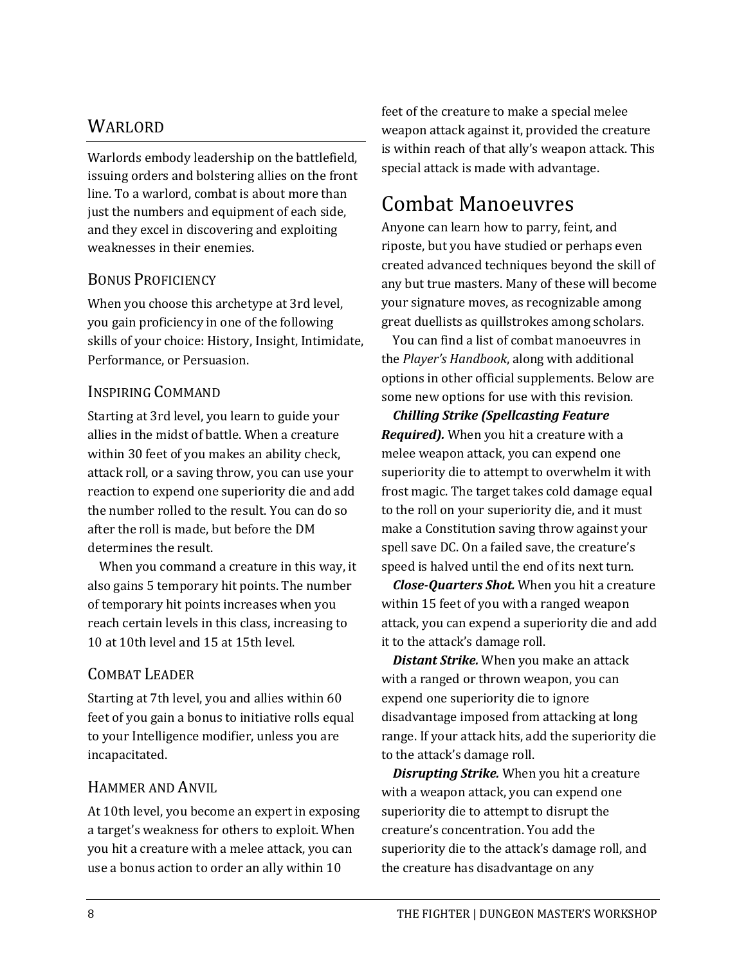# WARLORD

Warlords embody leadership on the battlefield, issuing orders and bolstering allies on the front line. To a warlord, combat is about more than just the numbers and equipment of each side, and they excel in discovering and exploiting weaknesses in their enemies.

#### BONUS PROFICIENCY

When you choose this archetype at 3rd level, you gain proficiency in one of the following skills of your choice: History, Insight, Intimidate, Performance, or Persuasion.

#### INSPIRING COMMAND

Starting at 3rd level, you learn to guide your allies in the midst of battle. When a creature within 30 feet of you makes an ability check, attack roll, or a saving throw, you can use your reaction to expend one superiority die and add the number rolled to the result. You can do so after the roll is made, but before the DM determines the result.

When you command a creature in this way, it also gains 5 temporary hit points. The number of temporary hit points increases when you reach certain levels in this class, increasing to 10 at 10th level and 15 at 15th level.

#### COMBAT LEADER

Starting at 7th level, you and allies within 60 feet of you gain a bonus to initiative rolls equal to your Intelligence modifier, unless you are incapacitated.

#### HAMMER AND ANVIL

At 10th level, you become an expert in exposing a target's weakness for others to exploit. When you hit a creature with a melee attack, you can use a bonus action to order an ally within 10

feet of the creature to make a special melee weapon attack against it, provided the creature is within reach of that ally's weapon attack. This special attack is made with advantage.

# Combat Manoeuvres

Anyone can learn how to parry, feint, and riposte, but you have studied or perhaps even created advanced techniques beyond the skill of any but true masters. Many of these will become your signature moves, as recognizable among great duellists as quillstrokes among scholars.

You can find a list of combat manoeuvres in the *Player's Handbook*, along with additional options in other official supplements. Below are some new options for use with this revision.

*Chilling Strike (Spellcasting Feature Required).* When you hit a creature with a melee weapon attack, you can expend one superiority die to attempt to overwhelm it with frost magic. The target takes cold damage equal to the roll on your superiority die, and it must make a Constitution saving throw against your spell save DC. On a failed save, the creature's speed is halved until the end of its next turn.

*Close-Quarters Shot.* When you hit a creature within 15 feet of you with a ranged weapon attack, you can expend a superiority die and add it to the attack's damage roll.

*Distant Strike.* When you make an attack with a ranged or thrown weapon, you can expend one superiority die to ignore disadvantage imposed from attacking at long range. If your attack hits, add the superiority die to the attack's damage roll.

*Disrupting Strike.* When you hit a creature with a weapon attack, you can expend one superiority die to attempt to disrupt the creature's concentration. You add the superiority die to the attack's damage roll, and the creature has disadvantage on any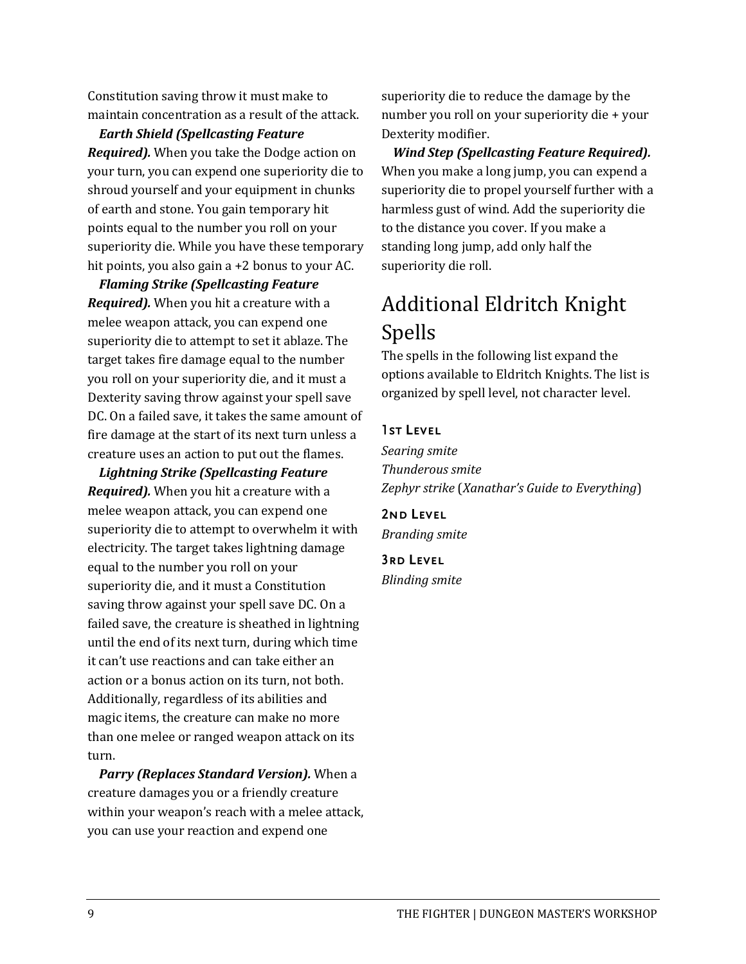Constitution saving throw it must make to maintain concentration as a result of the attack.

*Earth Shield (Spellcasting Feature Required).* When you take the Dodge action on your turn, you can expend one superiority die to shroud yourself and your equipment in chunks of earth and stone. You gain temporary hit points equal to the number you roll on your superiority die. While you have these temporary hit points, you also gain a +2 bonus to your AC.

*Flaming Strike (Spellcasting Feature Required).* When you hit a creature with a melee weapon attack, you can expend one superiority die to attempt to set it ablaze. The target takes fire damage equal to the number you roll on your superiority die, and it must a Dexterity saving throw against your spell save DC. On a failed save, it takes the same amount of fire damage at the start of its next turn unless a creature uses an action to put out the flames.

*Lightning Strike (Spellcasting Feature Required).* When you hit a creature with a melee weapon attack, you can expend one superiority die to attempt to overwhelm it with electricity. The target takes lightning damage equal to the number you roll on your superiority die, and it must a Constitution saving throw against your spell save DC. On a failed save, the creature is sheathed in lightning until the end of its next turn, during which time it can't use reactions and can take either an action or a bonus action on its turn, not both. Additionally, regardless of its abilities and magic items, the creature can make no more than one melee or ranged weapon attack on its turn.

*Parry (Replaces Standard Version).* When a creature damages you or a friendly creature within your weapon's reach with a melee attack, you can use your reaction and expend one

superiority die to reduce the damage by the number you roll on your superiority die + your Dexterity modifier.

*Wind Step (Spellcasting Feature Required).* When you make a long jump, you can expend a superiority die to propel yourself further with a harmless gust of wind. Add the superiority die to the distance you cover. If you make a standing long jump, add only half the superiority die roll.

# Additional Eldritch Knight Spells

The spells in the following list expand the options available to Eldritch Knights. The list is organized by spell level, not character level.

#### **IST LEVEL**

**1st Level** *Searing smite Thunderous smite Zephyr strike* (*Xanathar's Guide to Everything*)

2ND LEVEL **2nd Level** *Branding smite* 

**3RD LEVEL 3rd Level** *Blinding smite*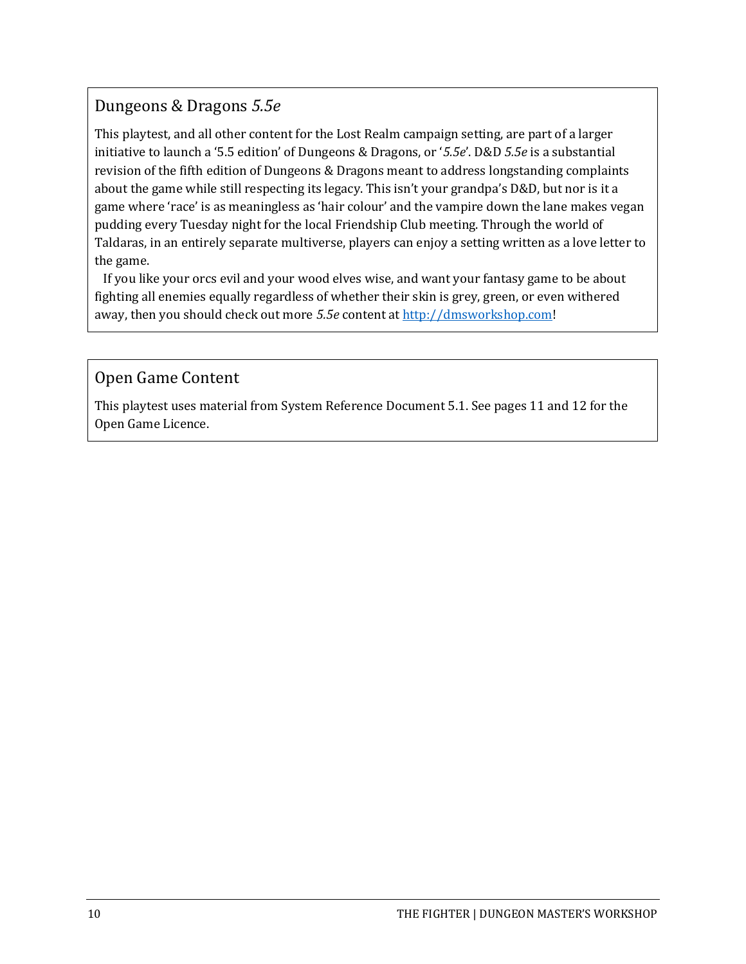# Dungeons & Dragons *5.5e*

This playtest, and all other content for the Lost Realm campaign setting, are part of a larger initiative to launch a '5.5 edition' of Dungeons & Dragons, or '*5.5e*'. D&D *5.5e* is a substantial revision of the fifth edition of Dungeons & Dragons meant to address longstanding complaints about the game while still respecting its legacy. This isn't your grandpa's D&D, but nor is it a game where 'race' is as meaningless as 'hair colour' and the vampire down the lane makes vegan pudding every Tuesday night for the local Friendship Club meeting. Through the world of Taldaras, in an entirely separate multiverse, players can enjoy a setting written as a love letter to the game.

 If you like your orcs evil and your wood elves wise, and want your fantasy game to be about fighting all enemies equally regardless of whether their skin is grey, green, or even withered away, then you should check out more *5.5e* content a[t http://dmsworkshop.com!](http://dmsworkshop.com/)

### Open Game Content

This playtest uses material from System Reference Document 5.1. See pages 11 and 12 for the Open Game Licence.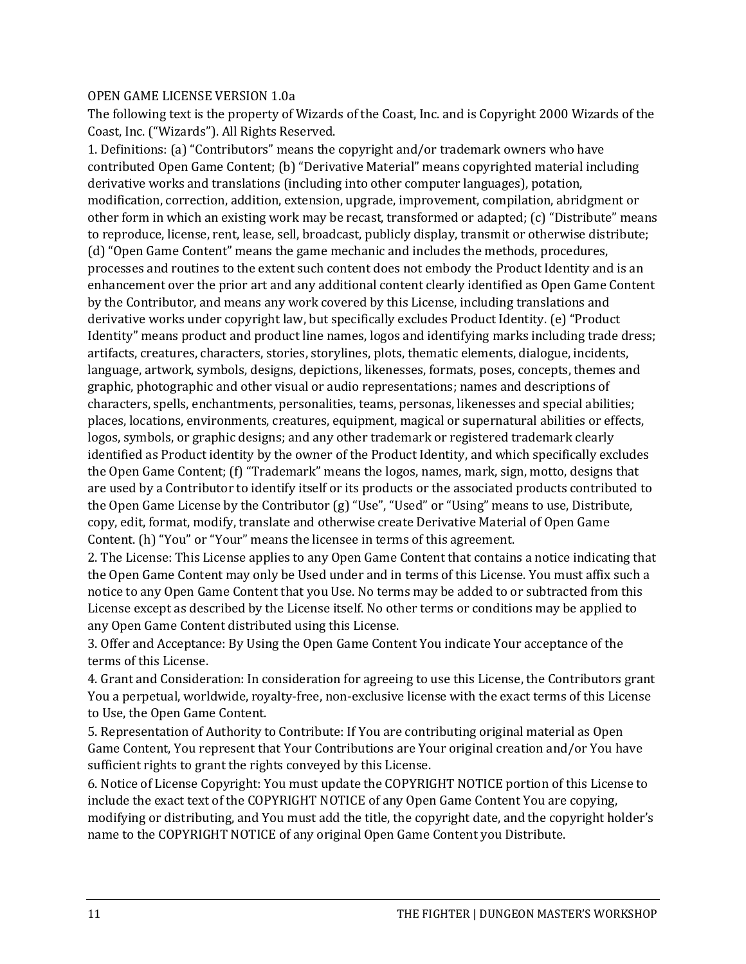#### OPEN GAME LICENSE VERSION 1.0a

The following text is the property of Wizards of the Coast, Inc. and is Copyright 2000 Wizards of the Coast, Inc. ("Wizards"). All Rights Reserved.

1. Definitions: (a) "Contributors" means the copyright and/or trademark owners who have contributed Open Game Content; (b) "Derivative Material" means copyrighted material including derivative works and translations (including into other computer languages), potation, modification, correction, addition, extension, upgrade, improvement, compilation, abridgment or other form in which an existing work may be recast, transformed or adapted; (c) "Distribute" means to reproduce, license, rent, lease, sell, broadcast, publicly display, transmit or otherwise distribute; (d) "Open Game Content" means the game mechanic and includes the methods, procedures, processes and routines to the extent such content does not embody the Product Identity and is an enhancement over the prior art and any additional content clearly identified as Open Game Content by the Contributor, and means any work covered by this License, including translations and derivative works under copyright law, but specifically excludes Product Identity. (e) "Product Identity" means product and product line names, logos and identifying marks including trade dress; artifacts, creatures, characters, stories, storylines, plots, thematic elements, dialogue, incidents, language, artwork, symbols, designs, depictions, likenesses, formats, poses, concepts, themes and graphic, photographic and other visual or audio representations; names and descriptions of characters, spells, enchantments, personalities, teams, personas, likenesses and special abilities; places, locations, environments, creatures, equipment, magical or supernatural abilities or effects, logos, symbols, or graphic designs; and any other trademark or registered trademark clearly identified as Product identity by the owner of the Product Identity, and which specifically excludes the Open Game Content; (f) "Trademark" means the logos, names, mark, sign, motto, designs that are used by a Contributor to identify itself or its products or the associated products contributed to the Open Game License by the Contributor (g) "Use", "Used" or "Using" means to use, Distribute, copy, edit, format, modify, translate and otherwise create Derivative Material of Open Game Content. (h) "You" or "Your" means the licensee in terms of this agreement.

2. The License: This License applies to any Open Game Content that contains a notice indicating that the Open Game Content may only be Used under and in terms of this License. You must affix such a notice to any Open Game Content that you Use. No terms may be added to or subtracted from this License except as described by the License itself. No other terms or conditions may be applied to any Open Game Content distributed using this License.

3. Offer and Acceptance: By Using the Open Game Content You indicate Your acceptance of the terms of this License.

4. Grant and Consideration: In consideration for agreeing to use this License, the Contributors grant You a perpetual, worldwide, royalty-free, non-exclusive license with the exact terms of this License to Use, the Open Game Content.

5. Representation of Authority to Contribute: If You are contributing original material as Open Game Content, You represent that Your Contributions are Your original creation and/or You have sufficient rights to grant the rights conveyed by this License.

6. Notice of License Copyright: You must update the COPYRIGHT NOTICE portion of this License to include the exact text of the COPYRIGHT NOTICE of any Open Game Content You are copying, modifying or distributing, and You must add the title, the copyright date, and the copyright holder's name to the COPYRIGHT NOTICE of any original Open Game Content you Distribute.